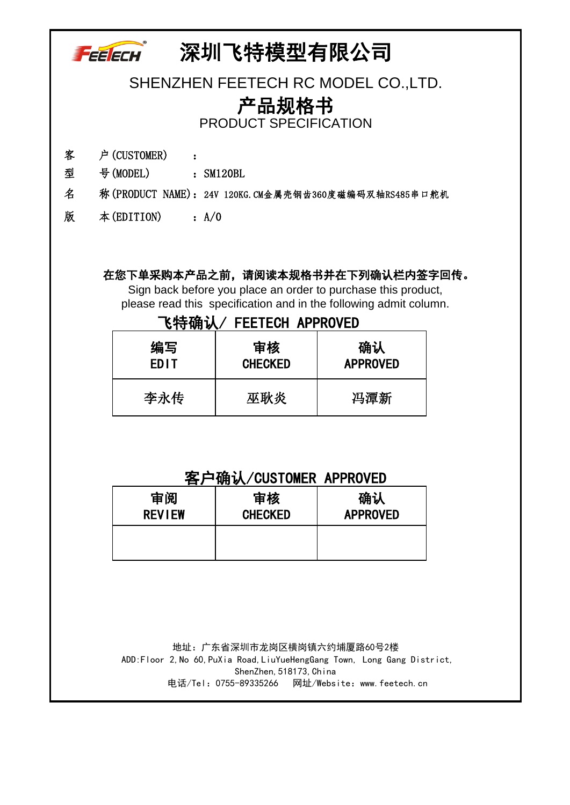# 深圳飞特模型有限公司 FEELECH SHENZHEN FEETECH RC MODEL CO.,LTD. 产品规格书 PRODUCT SPECIFICATION 客 户(CUSTOMER) : 型 号(MODEL) : SM120BL 名 称(PRODUCT NAME):24V 120KG.CM金属壳钢齿360度磁编码双轴RS485串口舵机

版  $\#$  (EDITION) : A/0

#### 在您下单采购本产品之前,请阅读本规格书并在下列确认栏内签字回传。

Sign back before you place an order to purchase this product, please read this specification and in the following admit column.

### 飞特确认/ FEETECH APPROVED

| 编写          | 审核             | 确认              |  |
|-------------|----------------|-----------------|--|
| <b>EDIT</b> | <b>CHECKED</b> | <b>APPROVED</b> |  |
| 李永传         | 巫耿炎            | 冯潭新             |  |

## 客户确认/CUSTOMER APPROVED

| 审阅            | 审核             | 确认              |  |
|---------------|----------------|-----------------|--|
| <b>REVIEW</b> | <b>CHECKED</b> | <b>APPROVED</b> |  |
|               |                |                 |  |

 电话/Tel:0755-89335266 网址/Website:www.feetech.cn 地址:广东省深圳市龙岗区横岗镇六约埔厦路60号2楼 ADD:Floor 2,No 60,PuXia Road,LiuYueHengGang Town, Long Gang District, ShenZhen, 518173, China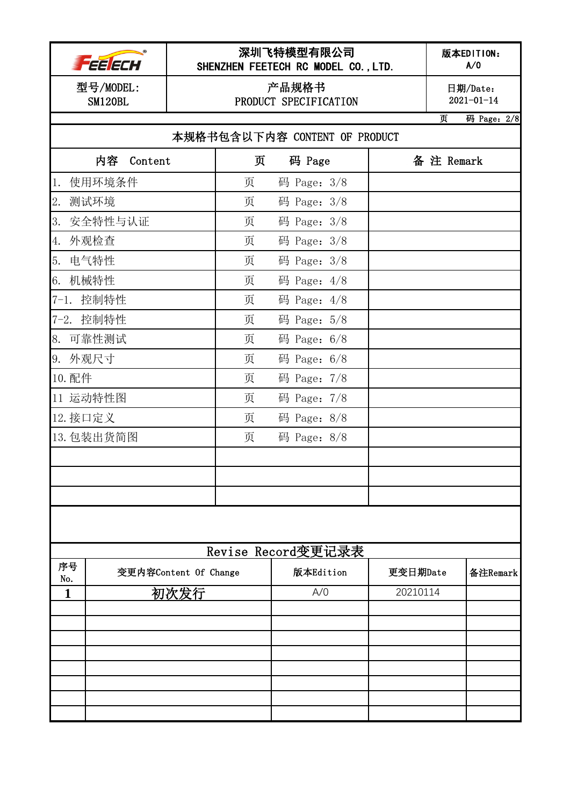|           | 深圳飞特模型有限公司<br>FEE ECH<br>SHENZHEN FEETECH RC MODEL CO., LTD. |                               |                                |          | 版本EDITION:<br>A/0 |                  |
|-----------|--------------------------------------------------------------|-------------------------------|--------------------------------|----------|-------------------|------------------|
|           | 型号/MODEL:<br>SM120BL                                         |                               | 产品规格书<br>PRODUCT SPECIFICATION |          |                   | $2021 - 01 - 14$ |
|           |                                                              |                               |                                |          | 码 Page: 2/8<br>页  |                  |
|           |                                                              | 本规格书包含以下内容 CONTENT OF PRODUCT |                                |          |                   |                  |
|           | 内容<br>Content                                                | 页                             | 码 Page                         |          | 备 注 Remark        |                  |
| 1.        | 使用环境条件                                                       | 页                             | 码 Page: $3/8$                  |          |                   |                  |
| 2.        | 测试环境                                                         | 页                             | 码 Page: $3/8$                  |          |                   |                  |
| 3.        | 安全特性与认证                                                      | 页                             | 码 Page: 3/8                    |          |                   |                  |
| 4.        | 外观检查                                                         | 页                             | 码 Page: 3/8                    |          |                   |                  |
| 5.        | 电气特性                                                         | 页                             | 码 Page: 3/8                    |          |                   |                  |
| 6.        | 机械特性                                                         | 页                             | 码 Page: $4/8$                  |          |                   |                  |
|           | 7-1. 控制特性                                                    | 页                             | 码 Page: $4/8$                  |          |                   |                  |
|           | 7-2. 控制特性                                                    | 页                             | 码 Page: $5/8$                  |          |                   |                  |
|           | 8. 可靠性测试                                                     | 页                             | 码 Page: $6/8$                  |          |                   |                  |
| 9. 外观尺寸   |                                                              | 页                             | 码 Page: 6/8                    |          |                   |                  |
| 10. 配件    |                                                              | 页                             | 码 Page: $7/8$                  |          |                   |                  |
|           | 11 运动特性图                                                     | 页                             | 码 Page: $7/8$                  |          |                   |                  |
| 12. 接口定义  |                                                              | 页                             | 码 Page: $8/8$                  |          |                   |                  |
|           | 13. 包装出货简图                                                   | 页                             | 码 Page: 8/8                    |          |                   |                  |
|           |                                                              |                               |                                |          |                   |                  |
|           |                                                              |                               |                                |          |                   |                  |
|           |                                                              |                               |                                |          |                   |                  |
|           |                                                              |                               | Revise Record变更记录表             |          |                   |                  |
| 序号<br>No. |                                                              | 变更内容Content Of Change         | 版本Edition                      | 更变日期Date | 备注Remark          |                  |
| 1         |                                                              | 初次发行                          | A/O                            | 20210114 |                   |                  |
|           |                                                              |                               |                                |          |                   |                  |
|           |                                                              |                               |                                |          |                   |                  |
|           |                                                              |                               |                                |          |                   |                  |
|           |                                                              |                               |                                |          |                   |                  |
|           |                                                              |                               |                                |          |                   |                  |
|           |                                                              |                               |                                |          |                   |                  |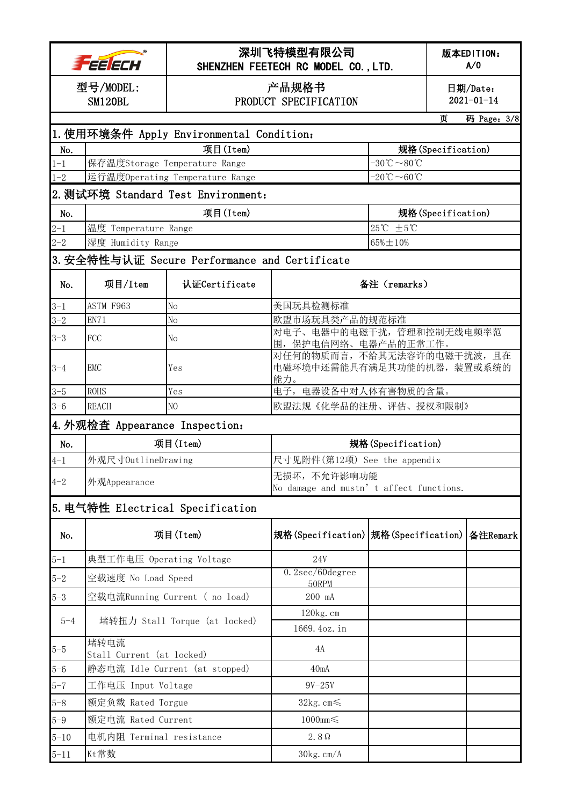|          | FFEE ECH                          |                                               | 深圳飞特模型有限公司<br>SHENZHEN FEETECH RC MODEL CO., LTD.             |                                               |                   | 版本EDITION:<br>A/0 |  |
|----------|-----------------------------------|-----------------------------------------------|---------------------------------------------------------------|-----------------------------------------------|-------------------|-------------------|--|
|          | 型号/MODEL:<br>SM120BL              |                                               | 产品规格书<br>PRODUCT SPECIFICATION                                | 日期/Date:<br>$2021 - 01 - 14$                  |                   |                   |  |
|          |                                   |                                               |                                                               |                                               | 页                 | 码 Page: $3/8$     |  |
|          |                                   | 1. 使用环境条件 Apply Environmental Condition:      |                                                               |                                               |                   |                   |  |
| No.      |                                   | 项目(Item)                                      |                                                               |                                               | 规格(Specification) |                   |  |
| $1 - 1$  |                                   | 保存温度Storage Temperature Range                 | $-30^{\circ}\mathrm{C} \sim 80^{\circ}\mathrm{C}$             |                                               |                   |                   |  |
| $1 - 2$  |                                   | 运行温度Operating Temperature Range               |                                                               | $-20^{\circ}\text{C} \sim 60^{\circ}\text{C}$ |                   |                   |  |
|          |                                   | 2. 测试环境 Standard Test Environment:            |                                                               |                                               |                   |                   |  |
| No.      |                                   | 项目(Item)                                      |                                                               | 规格(Specification)                             |                   |                   |  |
| $2 - 1$  | 温度 Temperature Range              |                                               | 25℃ ±5℃                                                       |                                               |                   |                   |  |
| $2 - 2$  | 湿度 Humidity Range                 |                                               |                                                               | $65\% \pm 10\%$                               |                   |                   |  |
|          |                                   | 3. 安全特性与认证 Secure Performance and Certificate |                                                               |                                               |                   |                   |  |
| No.      | 项目/Item                           | 认证Certificate                                 |                                                               | 备注 (remarks)                                  |                   |                   |  |
| $3 - 1$  | ASTM F963                         | No                                            | 美国玩具检测标准                                                      |                                               |                   |                   |  |
| $3 - 2$  | <b>EN71</b>                       | N <sub>o</sub>                                | 欧盟市场玩具类产品的规范标准                                                |                                               |                   |                   |  |
| $3 - 3$  | FCC                               | No                                            | 对电子、电器中的电磁干扰,管理和控制无线电频率范<br>围, 保护电信网络、电器产品的正常工作。              |                                               |                   |                   |  |
| $3 - 4$  | <b>EMC</b>                        | Yes                                           | 对任何的物质而言,不给其无法容许的电磁干扰波,且在<br>电磁环境中还需能具有满足其功能的机器,装置或系统的<br>能力。 |                                               |                   |                   |  |
| $3 - 5$  | <b>ROHS</b>                       | Yes                                           | 电子, 电器设备中对人体有害物质的含量。                                          |                                               |                   |                   |  |
| $3 - 6$  | <b>REACH</b>                      | N <sub>O</sub>                                | 欧盟法规《化学品的注册、评估、授权和限制》                                         |                                               |                   |                   |  |
|          | 4. 外观检查 Appearance Inspection:    |                                               |                                                               |                                               |                   |                   |  |
| No.      |                                   | 项目(Item)                                      |                                                               | 规格(Specification)                             |                   |                   |  |
| $4 - 1$  | 外观尺寸OutlineDrawing                |                                               | 尺寸见附件(第12项) See the appendix                                  |                                               |                   |                   |  |
| $4 - 2$  | 外观Appearance                      |                                               | 无损坏,不允许影响功能<br>No damage and mustn' t affect functions.       |                                               |                   |                   |  |
|          |                                   | 5. 电气特性 Electrical Specification              |                                                               |                                               |                   |                   |  |
| No.      | 项目(Item)                          |                                               | 规格(Specification)  规格(Specification)   备注Remark               |                                               |                   |                   |  |
| $5 - 1$  | 典型工作电压 Operating Voltage          |                                               | 24V                                                           |                                               |                   |                   |  |
| $5 - 2$  | 空载速度 No Load Speed                |                                               | $0.2$ sec/60degree<br>50RPM                                   |                                               |                   |                   |  |
| $5 - 3$  | 空载电流Running Current ( no load)    |                                               | 200 mA                                                        |                                               |                   |                   |  |
| $5 - 4$  | 堵转扭力 Stall Torque (at locked)     |                                               | $120$ kg. cm                                                  |                                               |                   |                   |  |
|          |                                   |                                               | 1669. 4oz. in                                                 |                                               |                   |                   |  |
| $5 - 5$  | 堵转电流<br>Stall Current (at locked) |                                               | 4A                                                            |                                               |                   |                   |  |
| $5 - 6$  | 静态电流 Idle Current (at stopped)    |                                               | 40mA                                                          |                                               |                   |                   |  |
| $5 - 7$  | 工作电压 Input Voltage                |                                               | $9V - 25V$                                                    |                                               |                   |                   |  |
| $5 - 8$  | 额定负载 Rated Torgue                 |                                               | 32kg. cm $\leq$                                               |                                               |                   |                   |  |
| $5 - 9$  | 额定电流 Rated Current                |                                               | $1000$ mm $\leq$                                              |                                               |                   |                   |  |
| $5 - 10$ | 电机内阻 Terminal resistance          |                                               | $2.8\Omega$                                                   |                                               |                   |                   |  |
| $5 - 11$ | Kt常数                              |                                               | $30\text{kg}$ . cm/A                                          |                                               |                   |                   |  |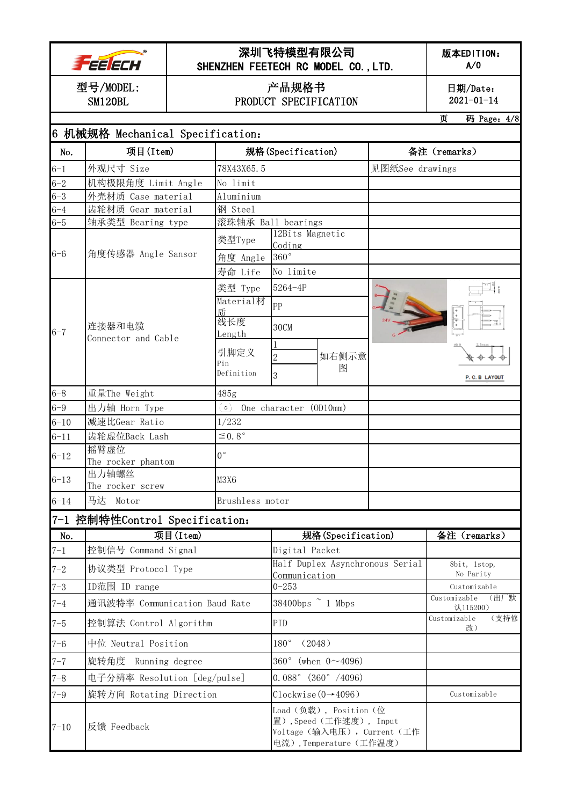|          | <b>FEELECH</b>                          |          | SHENZHEN FEETECH RC MODEL CO., LTD.                           | 深圳飞特模型有限公司                                                                   |                              |                                 | 版本EDITION:<br>A/0                |
|----------|-----------------------------------------|----------|---------------------------------------------------------------|------------------------------------------------------------------------------|------------------------------|---------------------------------|----------------------------------|
|          | 型号/MODEL:<br>SM120BL                    |          | 产品规格书<br>PRODUCT SPECIFICATION                                |                                                                              | 日期/Date:<br>$2021 - 01 - 14$ |                                 |                                  |
|          |                                         |          |                                                               |                                                                              |                              |                                 | 页<br>码 Page: 4/8                 |
|          | 6 机械规格 Mechanical Specification:        |          |                                                               |                                                                              |                              |                                 |                                  |
| No.      | 项目(Item)                                |          |                                                               | 规格(Specification)                                                            |                              |                                 | 备注 (remarks)                     |
| $6 - 1$  | 外观尺寸 Size                               |          | 78X43X65.5                                                    |                                                                              |                              | 见图纸See drawings                 |                                  |
| $6 - 2$  | 机构极限角度 Limit Angle                      |          | No limit                                                      |                                                                              |                              |                                 |                                  |
| $6 - 3$  | 外壳材质 Case material                      |          | Aluminium                                                     |                                                                              |                              |                                 |                                  |
| $6 - 4$  | 齿轮材质 Gear material<br>轴承类型 Bearing type |          | 钢 Steel<br>滚珠轴承 Ball bearings                                 |                                                                              |                              |                                 |                                  |
| $6 - 5$  |                                         |          |                                                               | 12Bits Magnetic                                                              |                              |                                 |                                  |
|          |                                         |          | 类型Type                                                        | Coding                                                                       |                              |                                 |                                  |
| $6 - 6$  | 角度传感器 Angle Sansor                      |          | 角度 Angle                                                      | $360^\circ$                                                                  |                              |                                 |                                  |
|          |                                         |          | 寿命 Life                                                       | No limite                                                                    |                              |                                 |                                  |
|          |                                         |          | 类型 Type                                                       | 5264-4P                                                                      |                              |                                 |                                  |
|          |                                         |          | Material材                                                     | PP                                                                           |                              |                                 |                                  |
|          |                                         |          | 乕<br>线长度                                                      |                                                                              |                              |                                 |                                  |
| $6 - 7$  | 连接器和电缆                                  |          | Length                                                        | 30CM                                                                         |                              |                                 |                                  |
|          | Connector and Cable                     |          |                                                               |                                                                              |                              |                                 |                                  |
|          |                                         |          | 引脚定义<br>Pin                                                   | $\overline{2}$                                                               | 如右侧示意                        |                                 |                                  |
|          |                                         |          | Definition                                                    | 3                                                                            | 图                            |                                 | P.C.B LAYOUT                     |
| $6 - 8$  | 重量The Weight                            |          | 485g                                                          |                                                                              |                              |                                 |                                  |
| $6 - 9$  | 出力轴 Horn Type                           |          | $(\circ)$                                                     | One character (OD10mm)                                                       |                              |                                 |                                  |
| $6 - 10$ | 减速比Gear Ratio                           |          | 1/232                                                         |                                                                              |                              |                                 |                                  |
| $6 - 11$ | 齿轮虚位Back Lash                           |          | $\leq 0.8$ °                                                  |                                                                              |                              |                                 |                                  |
| $6 - 12$ | 摇臂虚位                                    |          | $0^{\circ}$                                                   |                                                                              |                              |                                 |                                  |
|          | The rocker phantom                      |          |                                                               |                                                                              |                              |                                 |                                  |
| $6 - 13$ | 出力轴螺丝<br>The rocker screw               |          | M3X6                                                          |                                                                              |                              |                                 |                                  |
| $6 - 14$ | 马达<br>Motor                             |          | Brushless motor                                               |                                                                              |                              |                                 |                                  |
|          | 7-1 控制特性Control Specification:          |          |                                                               |                                                                              |                              |                                 |                                  |
| No.      |                                         | 项目(Item) |                                                               |                                                                              | 规格(Specification)            |                                 | 备注(remarks)                      |
| $7 - 1$  | 控制信号 Command Signal                     |          |                                                               | Digital Packet                                                               |                              |                                 |                                  |
| $7 - 2$  | 协议类型 Protocol Type                      |          |                                                               | Communication                                                                |                              | Half Duplex Asynchronous Serial | 8bit, 1stop,<br>No Parity        |
| $7 - 3$  | ID范围 ID range                           |          |                                                               | $0 - 253$                                                                    |                              |                                 | Customizable                     |
| $7 - 4$  |                                         |          | $38400$ bps $\degree$ 1 Mbps<br>通讯波特率 Communication Baud Rate |                                                                              |                              |                                 | (出厂默<br>Customizable<br>认115200) |
| $7 - 5$  | 控制算法 Control Algorithm                  |          |                                                               | PID                                                                          |                              |                                 | (支持修<br>Customizable<br>改)       |
| $7 - 6$  | 中位 Neutral Position                     |          |                                                               | 180°<br>(2048)                                                               |                              |                                 |                                  |
| $7 - 7$  | 旋转角度 Running degree                     |          | $360^{\circ}$                                                 |                                                                              | (when $0 \sim 4096$ )        |                                 |                                  |
| $7 - 8$  | 电子分辨率 Resolution [deg/pulse]            |          |                                                               | $0.088^{\circ}$ (360° /4096)                                                 |                              |                                 |                                  |
| $7 - 9$  | 旋转方向 Rotating Direction                 |          |                                                               | Clockwise $(0 \rightarrow 4096)$                                             |                              |                                 | Customizable                     |
| $7 - 10$ | 反馈 Feedback                             |          |                                                               | Load (负载), Position (位<br>置), Speed (工作速度), Input<br>电流), Temperature (工作温度) | Voltage (输入电压), Current (工作  |                                 |                                  |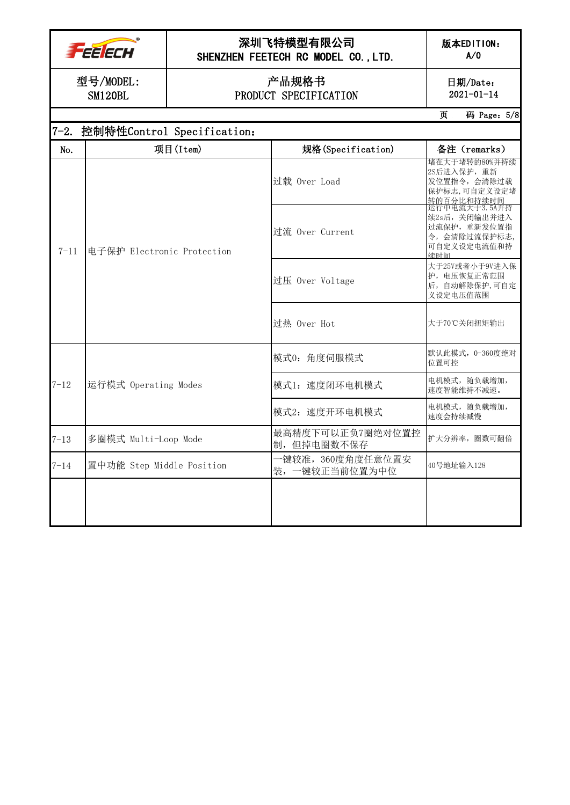

型号/MODEL: SM120BL

# 深圳飞特模型有限公司

版本EDITION: A/0

SHENZHEN FEETECH RC MODEL CO., LTD.

#### 产品规格书 PRODUCT SPECIFICATION

日期/Date:  $2021-01-14$ 

页 码 Page:5/8

|          | 7-2. 控制特性Control Specification: |                                    |                                                                                      |
|----------|---------------------------------|------------------------------------|--------------------------------------------------------------------------------------|
| No.      | 项目(Item)                        | 规格(Specification)                  | 备注 (remarks)                                                                         |
| $7 - 11$ | 电子保护 Electronic Protection      | 过载 Over Load                       | 堵在大于堵转的80%并持续<br>2S后进入保护, 重新<br>发位置指令, 会清除过载<br>保护标志,可自定义设定堵<br>转的百分比和持续时间           |
|          |                                 | 过流 Over Current                    | 运行中电流大于3.5A并持<br>续2s后, 关闭输出并进入<br>过流保护, 重新发位置指<br>令,会清除过流保护标志,<br>可自定义设定电流值和持<br>续时间 |
|          |                                 | 过压 Over Voltage                    | 大于25V或者小于9V进入保<br>护, 电压恢复正常范围<br>后, 自动解除保护, 可自定<br>义设定电压值范围                          |
|          |                                 | 过热 Over Hot                        | 大于70℃关闭扭矩输出                                                                          |
|          | 运行模式 Operating Modes            | 模式0: 角度伺服模式                        | 默认此模式, 0-360度绝对<br>位置可控                                                              |
| $7 - 12$ |                                 | 模式1: 速度闭环电机模式                      | 电机模式, 随负载增加,<br>速度智能维持不减速。                                                           |
|          |                                 | 模式2: 速度开环电机模式                      | 电机模式, 随负载增加,<br>速度会持续减慢                                                              |
| $7 - 13$ | 多圈模式 Multi-Loop Mode            | 最高精度下可以正负7圈绝对位置控<br>制,但掉电圈数不保存     | 扩大分辨率, 圈数可翻倍                                                                         |
| $7 - 14$ | 置中功能 Step Middle Position       | ·键较准, 360度角度任意位置安<br>装,一键较正当前位置为中位 | 40号地址输入128                                                                           |
|          |                                 |                                    |                                                                                      |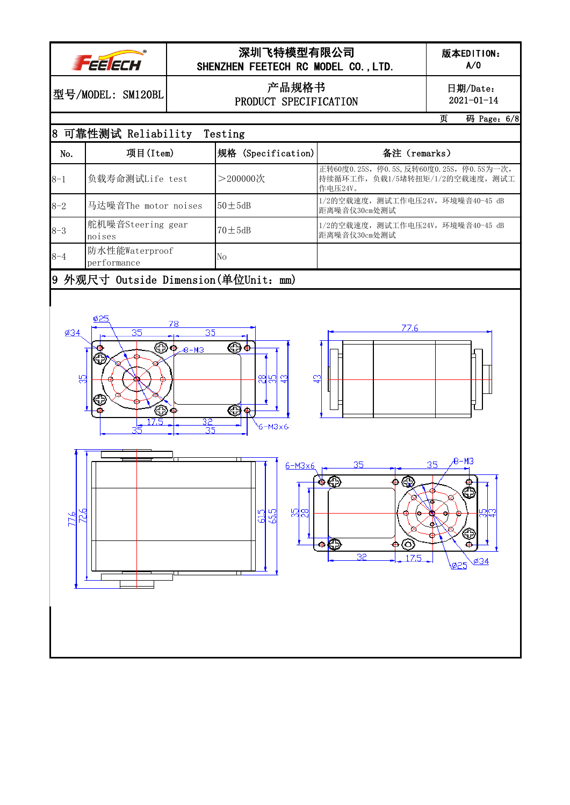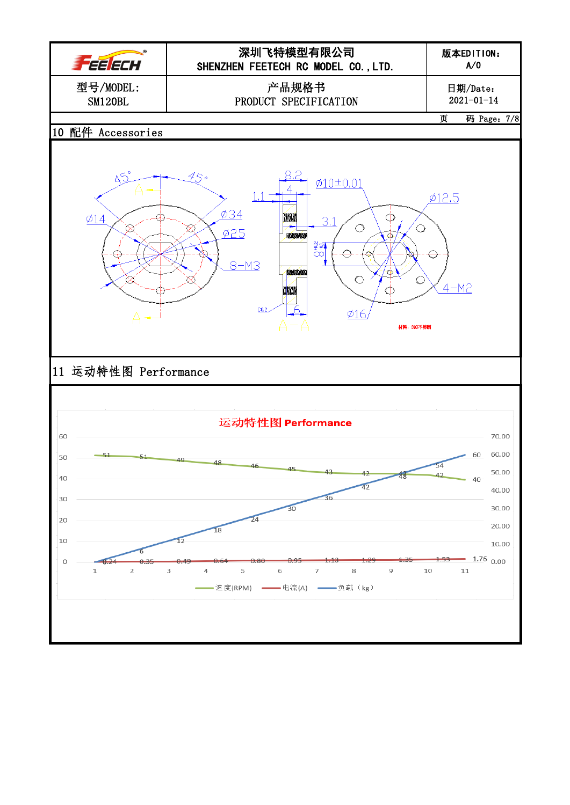![](_page_6_Figure_0.jpeg)